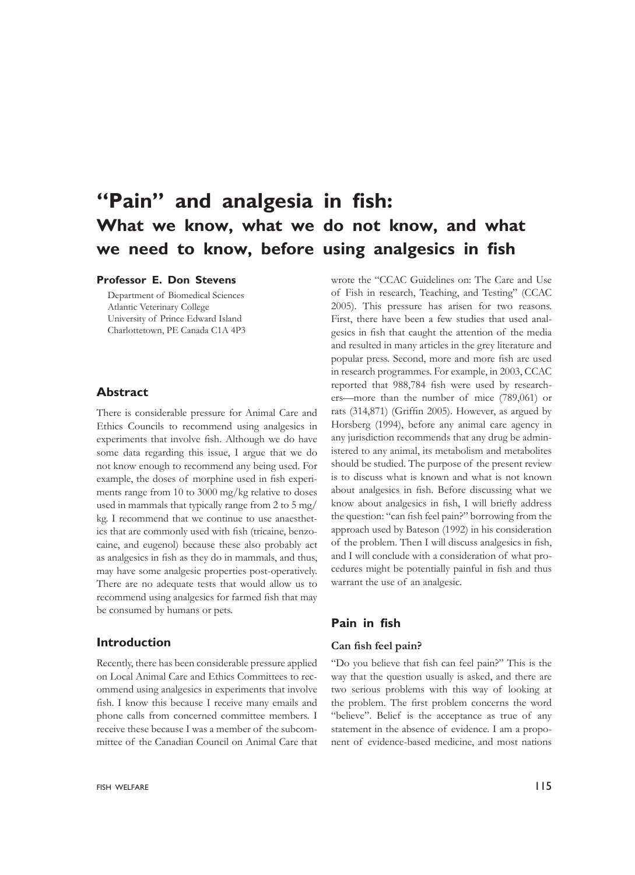# **"Pain" and analgesia in fish: What we know, what we do not know, and what we need to know, before using analgesics in fish**

## **Professor E. Don Stevens**

Department of Biomedical Sciences Atlantic Veterinary College University of Prince Edward Island Charlottetown, PE Canada C1A 4P3

#### **Abstract**

There is considerable pressure for Animal Care and Ethics Councils to recommend using analgesics in experiments that involve fish. Although we do have some data regarding this issue, I argue that we do not know enough to recommend any being used. For example, the doses of morphine used in fish experiments range from 10 to 3000 mg/kg relative to doses used in mammals that typically range from 2 to 5 mg/ kg. I recommend that we continue to use anaesthetics that are commonly used with fish (tricaine, benzocaine, and eugenol) because these also probably act as analgesics in fish as they do in mammals, and thus, may have some analgesic properties post-operatively. There are no adequate tests that would allow us to recommend using analgesics for farmed fish that may be consumed by humans or pets.

#### **Introduction**

Recently, there has been considerable pressure applied on Local Animal Care and Ethics Committees to recommend using analgesics in experiments that involve fish. I know this because I receive many emails and phone calls from concerned committee members. I receive these because I was a member of the subcommittee of the Canadian Council on Animal Care that

wrote the "CCAC Guidelines on: The Care and Use of Fish in research, Teaching, and Testing" (CCAC 2005). This pressure has arisen for two reasons. First, there have been a few studies that used analgesics in fish that caught the attention of the media and resulted in many articles in the grey literature and popular press. Second, more and more fish are used in research programmes. For example, in 2003, CCAC reported that 988,784 fish were used by researchers—more than the number of mice (789,061) or rats (314,871) (Griffin 2005). However, as argued by Horsberg (1994), before any animal care agency in any jurisdiction recommends that any drug be administered to any animal, its metabolism and metabolites should be studied. The purpose of the present review is to discuss what is known and what is not known about analgesics in fish. Before discussing what we know about analgesics in fish, I will briefly address the question: "can fish feel pain?" borrowing from the approach used by Bateson (1992) in his consideration of the problem. Then I will discuss analgesics in fish, and I will conclude with a consideration of what procedures might be potentially painful in fish and thus warrant the use of an analgesic.

#### **Pain in fish**

#### **Can fish feel pain?**

"Do you believe that fish can feel pain?" This is the way that the question usually is asked, and there are two serious problems with this way of looking at the problem. The first problem concerns the word "believe". Belief is the acceptance as true of any statement in the absence of evidence. I am a proponent of evidence-based medicine, and most nations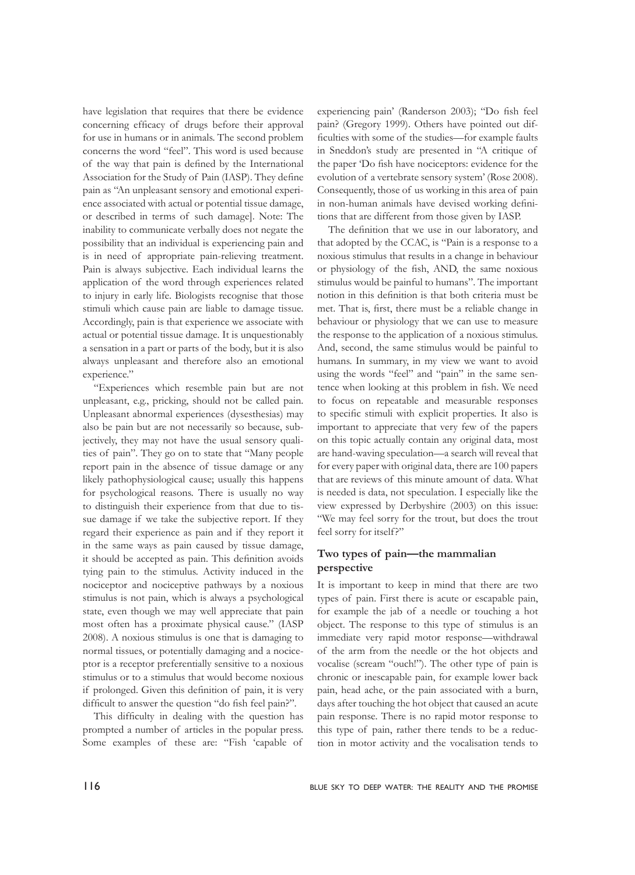have legislation that requires that there be evidence concerning efficacy of drugs before their approval for use in humans or in animals. The second problem concerns the word "feel". This word is used because of the way that pain is defined by the International Association for the Study of Pain (IASP). They define pain as "An unpleasant sensory and emotional experience associated with actual or potential tissue damage, or described in terms of such damage]. Note: The inability to communicate verbally does not negate the possibility that an individual is experiencing pain and is in need of appropriate pain-relieving treatment. Pain is always subjective. Each individual learns the application of the word through experiences related to injury in early life. Biologists recognise that those stimuli which cause pain are liable to damage tissue. Accordingly, pain is that experience we associate with actual or potential tissue damage. It is unquestionably a sensation in a part or parts of the body, but it is also always unpleasant and therefore also an emotional experience."

"Experiences which resemble pain but are not unpleasant, e.g., pricking, should not be called pain. Unpleasant abnormal experiences (dysesthesias) may also be pain but are not necessarily so because, subjectively, they may not have the usual sensory qualities of pain". They go on to state that "Many people report pain in the absence of tissue damage or any likely pathophysiological cause; usually this happens for psychological reasons. There is usually no way to distinguish their experience from that due to tissue damage if we take the subjective report. If they regard their experience as pain and if they report it in the same ways as pain caused by tissue damage, it should be accepted as pain. This definition avoids tying pain to the stimulus. Activity induced in the nociceptor and nociceptive pathways by a noxious stimulus is not pain, which is always a psychological state, even though we may well appreciate that pain most often has a proximate physical cause." (IASP 2008). A noxious stimulus is one that is damaging to normal tissues, or potentially damaging and a nociceptor is a receptor preferentially sensitive to a noxious stimulus or to a stimulus that would become noxious if prolonged. Given this definition of pain, it is very difficult to answer the question "do fish feel pain?".

This difficulty in dealing with the question has prompted a number of articles in the popular press. Some examples of these are: "Fish 'capable of

experiencing pain' (Randerson 2003); "Do fish feel pain? (Gregory 1999). Others have pointed out difficulties with some of the studies—for example faults in Sneddon's study are presented in "A critique of the paper 'Do fish have nociceptors: evidence for the evolution of a vertebrate sensory system' (Rose 2008). Consequently, those of us working in this area of pain in non-human animals have devised working definitions that are different from those given by IASP.

The definition that we use in our laboratory, and that adopted by the CCAC, is "Pain is a response to a noxious stimulus that results in a change in behaviour or physiology of the fish, AND, the same noxious stimulus would be painful to humans". The important notion in this definition is that both criteria must be met. That is, first, there must be a reliable change in behaviour or physiology that we can use to measure the response to the application of a noxious stimulus. And, second, the same stimulus would be painful to humans. In summary, in my view we want to avoid using the words "feel" and "pain" in the same sentence when looking at this problem in fish. We need to focus on repeatable and measurable responses to specific stimuli with explicit properties. It also is important to appreciate that very few of the papers on this topic actually contain any original data, most are hand-waving speculation—a search will reveal that for every paper with original data, there are 100 papers that are reviews of this minute amount of data. What is needed is data, not speculation. I especially like the view expressed by Derbyshire (2003) on this issue: "We may feel sorry for the trout, but does the trout feel sorry for itself?"

## **Two types of pain—the mammalian perspective**

It is important to keep in mind that there are two types of pain. First there is acute or escapable pain, for example the jab of a needle or touching a hot object. The response to this type of stimulus is an immediate very rapid motor response—withdrawal of the arm from the needle or the hot objects and vocalise (scream "ouch!"). The other type of pain is chronic or inescapable pain, for example lower back pain, head ache, or the pain associated with a burn, days after touching the hot object that caused an acute pain response. There is no rapid motor response to this type of pain, rather there tends to be a reduction in motor activity and the vocalisation tends to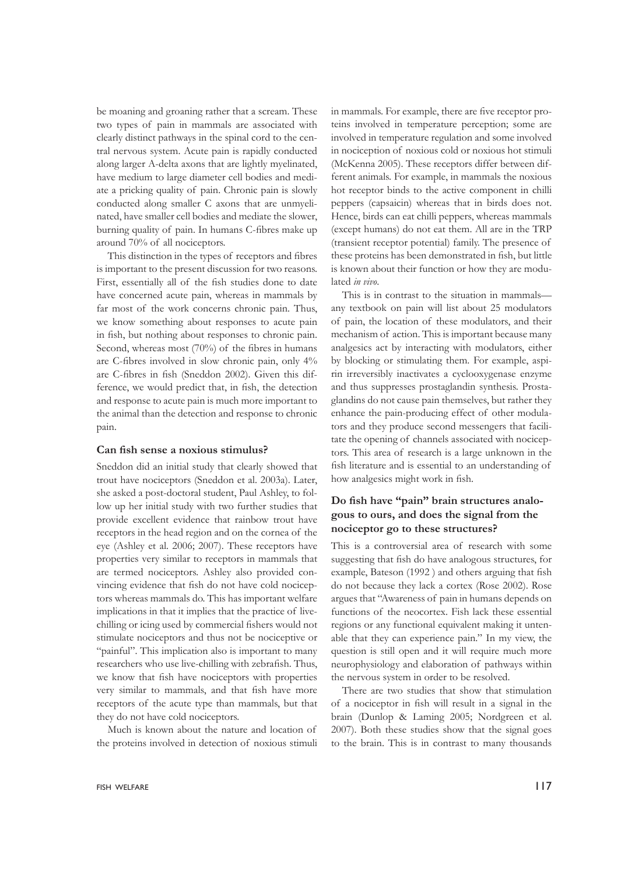be moaning and groaning rather that a scream. These two types of pain in mammals are associated with clearly distinct pathways in the spinal cord to the central nervous system. Acute pain is rapidly conducted along larger A-delta axons that are lightly myelinated, have medium to large diameter cell bodies and mediate a pricking quality of pain. Chronic pain is slowly conducted along smaller C axons that are unmyelinated, have smaller cell bodies and mediate the slower, burning quality of pain. In humans C-fibres make up around 70% of all nociceptors.

This distinction in the types of receptors and fibres is important to the present discussion for two reasons. First, essentially all of the fish studies done to date have concerned acute pain, whereas in mammals by far most of the work concerns chronic pain. Thus, we know something about responses to acute pain in fish, but nothing about responses to chronic pain. Second, whereas most (70%) of the fibres in humans are C-fibres involved in slow chronic pain, only 4% are C-fibres in fish (Sneddon 2002). Given this difference, we would predict that, in fish, the detection and response to acute pain is much more important to the animal than the detection and response to chronic pain.

#### **Can fish sense a noxious stimulus?**

Sneddon did an initial study that clearly showed that trout have nociceptors (Sneddon et al. 2003a). Later, she asked a post-doctoral student, Paul Ashley, to follow up her initial study with two further studies that provide excellent evidence that rainbow trout have receptors in the head region and on the cornea of the eye (Ashley et al. 2006; 2007). These receptors have properties very similar to receptors in mammals that are termed nociceptors. Ashley also provided convincing evidence that fish do not have cold nociceptors whereas mammals do. This has important welfare implications in that it implies that the practice of livechilling or icing used by commercial fishers would not stimulate nociceptors and thus not be nociceptive or "painful". This implication also is important to many researchers who use live-chilling with zebrafish. Thus, we know that fish have nociceptors with properties very similar to mammals, and that fish have more receptors of the acute type than mammals, but that they do not have cold nociceptors.

Much is known about the nature and location of the proteins involved in detection of noxious stimuli in mammals. For example, there are five receptor proteins involved in temperature perception; some are involved in temperature regulation and some involved in nociception of noxious cold or noxious hot stimuli (McKenna 2005). These receptors differ between different animals. For example, in mammals the noxious hot receptor binds to the active component in chilli peppers (capsaicin) whereas that in birds does not. Hence, birds can eat chilli peppers, whereas mammals (except humans) do not eat them. All are in the TRP (transient receptor potential) family. The presence of these proteins has been demonstrated in fish, but little is known about their function or how they are modulated *in vivo*.

This is in contrast to the situation in mammals any textbook on pain will list about 25 modulators of pain, the location of these modulators, and their mechanism of action. This is important because many analgesics act by interacting with modulators, either by blocking or stimulating them. For example, aspirin irreversibly inactivates a cyclooxygenase enzyme and thus suppresses prostaglandin synthesis. Prostaglandins do not cause pain themselves, but rather they enhance the pain-producing effect of other modulators and they produce second messengers that facilitate the opening of channels associated with nociceptors. This area of research is a large unknown in the fish literature and is essential to an understanding of how analgesics might work in fish.

## **Do fish have "pain" brain structures analogous to ours, and does the signal from the nociceptor go to these structures?**

This is a controversial area of research with some suggesting that fish do have analogous structures, for example, Bateson (1992 ) and others arguing that fish do not because they lack a cortex (Rose 2002). Rose argues that "Awareness of pain in humans depends on functions of the neocortex. Fish lack these essential regions or any functional equivalent making it untenable that they can experience pain." In my view, the question is still open and it will require much more neurophysiology and elaboration of pathways within the nervous system in order to be resolved.

There are two studies that show that stimulation of a nociceptor in fish will result in a signal in the brain (Dunlop & Laming 2005; Nordgreen et al. 2007). Both these studies show that the signal goes to the brain. This is in contrast to many thousands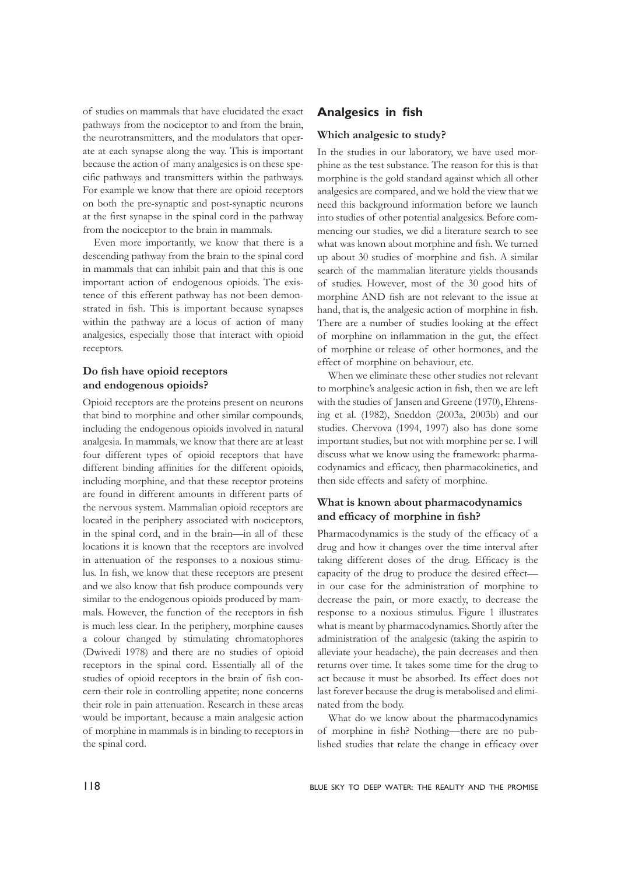of studies on mammals that have elucidated the exact pathways from the nociceptor to and from the brain, the neurotransmitters, and the modulators that operate at each synapse along the way. This is important because the action of many analgesics is on these specific pathways and transmitters within the pathways. For example we know that there are opioid receptors on both the pre-synaptic and post-synaptic neurons at the first synapse in the spinal cord in the pathway from the nociceptor to the brain in mammals.

Even more importantly, we know that there is a descending pathway from the brain to the spinal cord in mammals that can inhibit pain and that this is one important action of endogenous opioids. The existence of this efferent pathway has not been demonstrated in fish. This is important because synapses within the pathway are a locus of action of many analgesics, especially those that interact with opioid receptors.

## **Do fish have opioid receptors and endogenous opioids?**

Opioid receptors are the proteins present on neurons that bind to morphine and other similar compounds, including the endogenous opioids involved in natural analgesia. In mammals, we know that there are at least four different types of opioid receptors that have different binding affinities for the different opioids, including morphine, and that these receptor proteins are found in different amounts in different parts of the nervous system. Mammalian opioid receptors are located in the periphery associated with nociceptors, in the spinal cord, and in the brain—in all of these locations it is known that the receptors are involved in attenuation of the responses to a noxious stimulus. In fish, we know that these receptors are present and we also know that fish produce compounds very similar to the endogenous opioids produced by mammals. However, the function of the receptors in fish is much less clear. In the periphery, morphine causes a colour changed by stimulating chromatophores (Dwivedi 1978) and there are no studies of opioid receptors in the spinal cord. Essentially all of the studies of opioid receptors in the brain of fish concern their role in controlling appetite; none concerns their role in pain attenuation. Research in these areas would be important, because a main analgesic action of morphine in mammals is in binding to receptors in the spinal cord.

## **Analgesics in fish**

#### **Which analgesic to study?**

In the studies in our laboratory, we have used morphine as the test substance. The reason for this is that morphine is the gold standard against which all other analgesics are compared, and we hold the view that we need this background information before we launch into studies of other potential analgesics. Before commencing our studies, we did a literature search to see what was known about morphine and fish. We turned up about 30 studies of morphine and fish. A similar search of the mammalian literature yields thousands of studies. However, most of the 30 good hits of morphine AND fish are not relevant to the issue at hand, that is, the analgesic action of morphine in fish. There are a number of studies looking at the effect of morphine on inflammation in the gut, the effect of morphine or release of other hormones, and the effect of morphine on behaviour, etc.

When we eliminate these other studies not relevant to morphine's analgesic action in fish, then we are left with the studies of Jansen and Greene (1970), Ehrensing et al. (1982), Sneddon (2003a, 2003b) and our studies. Chervova (1994, 1997) also has done some important studies, but not with morphine per se. I will discuss what we know using the framework: pharmacodynamics and efficacy, then pharmacokinetics, and then side effects and safety of morphine.

## **What is known about pharmacodynamics and efficacy of morphine in fish?**

Pharmacodynamics is the study of the efficacy of a drug and how it changes over the time interval after taking different doses of the drug. Efficacy is the capacity of the drug to produce the desired effect in our case for the administration of morphine to decrease the pain, or more exactly, to decrease the response to a noxious stimulus. Figure 1 illustrates what is meant by pharmacodynamics. Shortly after the administration of the analgesic (taking the aspirin to alleviate your headache), the pain decreases and then returns over time. It takes some time for the drug to act because it must be absorbed. Its effect does not last forever because the drug is metabolised and eliminated from the body.

What do we know about the pharmacodynamics of morphine in fish? Nothing—there are no published studies that relate the change in efficacy over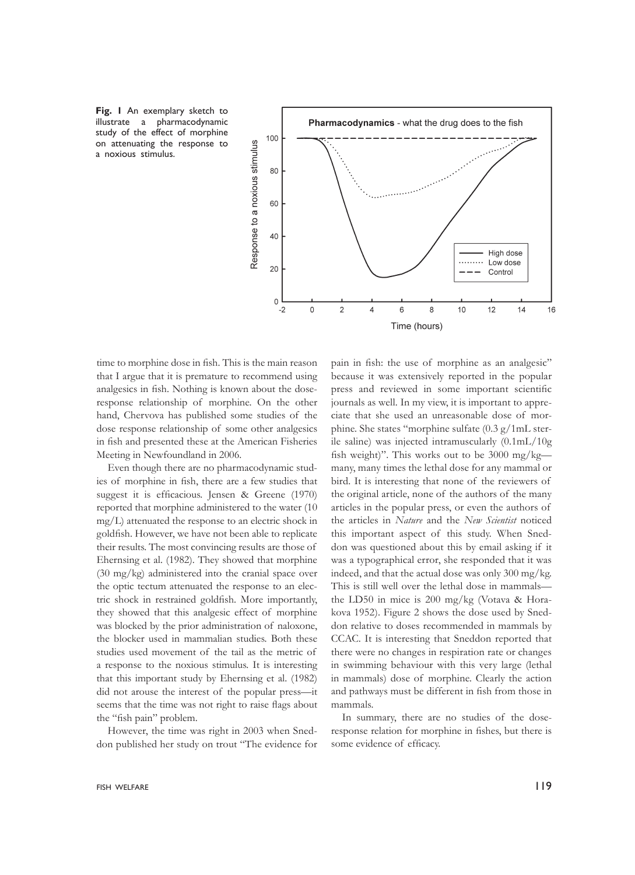



time to morphine dose in fish. This is the main reason that I argue that it is premature to recommend using analgesics in fish. Nothing is known about the doseresponse relationship of morphine. On the other hand, Chervova has published some studies of the dose response relationship of some other analgesics in fish and presented these at the American Fisheries Meeting in Newfoundland in 2006.

Even though there are no pharmacodynamic studies of morphine in fish, there are a few studies that suggest it is efficacious. Jensen & Greene (1970) reported that morphine administered to the water (10 mg/L) attenuated the response to an electric shock in goldfish. However, we have not been able to replicate their results. The most convincing results are those of Ehernsing et al. (1982). They showed that morphine (30 mg/kg) administered into the cranial space over the optic tectum attenuated the response to an electric shock in restrained goldfish. More importantly, they showed that this analgesic effect of morphine was blocked by the prior administration of naloxone, the blocker used in mammalian studies. Both these studies used movement of the tail as the metric of a response to the noxious stimulus. It is interesting that this important study by Ehernsing et al. (1982) did not arouse the interest of the popular press—it seems that the time was not right to raise flags about the "fish pain" problem.

However, the time was right in 2003 when Sneddon published her study on trout "The evidence for

pain in fish: the use of morphine as an analgesic" because it was extensively reported in the popular press and reviewed in some important scientific journals as well. In my view, it is important to appreciate that she used an unreasonable dose of morphine. She states "morphine sulfate (0.3 g/1mL sterile saline) was injected intramuscularly (0.1mL/10g fish weight)". This works out to be 3000 mg/kg many, many times the lethal dose for any mammal or bird. It is interesting that none of the reviewers of the original article, none of the authors of the many articles in the popular press, or even the authors of the articles in *Nature* and the *New Scientist* noticed this important aspect of this study. When Sneddon was questioned about this by email asking if it was a typographical error, she responded that it was indeed, and that the actual dose was only 300 mg/kg. This is still well over the lethal dose in mammals the LD50 in mice is 200 mg/kg (Votava & Horakova 1952). Figure 2 shows the dose used by Sneddon relative to doses recommended in mammals by CCAC. It is interesting that Sneddon reported that there were no changes in respiration rate or changes in swimming behaviour with this very large (lethal in mammals) dose of morphine. Clearly the action and pathways must be different in fish from those in mammals.

In summary, there are no studies of the doseresponse relation for morphine in fishes, but there is some evidence of efficacy.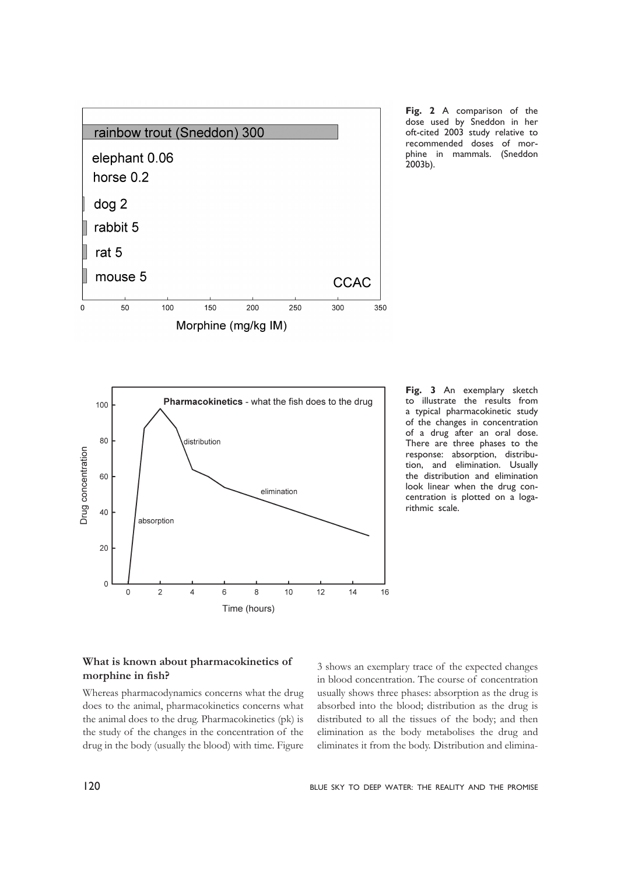

**Fig. 2** A comparison of the dose used by Sneddon in her oft-cited 2003 study relative to recommended doses of morphine in mammals. (Sneddon 2003b).



**Fig. 3** An exemplary sketch to illustrate the results from a typical pharmacokinetic study of the changes in concentration of a drug after an oral dose. There are three phases to the response: absorption, distribution, and elimination. Usually the distribution and elimination look linear when the drug concentration is plotted on a logarithmic scale.

## **What is known about pharmacokinetics of morphine in fish?**

Whereas pharmacodynamics concerns what the drug does to the animal, pharmacokinetics concerns what the animal does to the drug. Pharmacokinetics (pk) is the study of the changes in the concentration of the drug in the body (usually the blood) with time. Figure

3 shows an exemplary trace of the expected changes in blood concentration. The course of concentration usually shows three phases: absorption as the drug is absorbed into the blood; distribution as the drug is distributed to all the tissues of the body; and then elimination as the body metabolises the drug and eliminates it from the body. Distribution and elimina-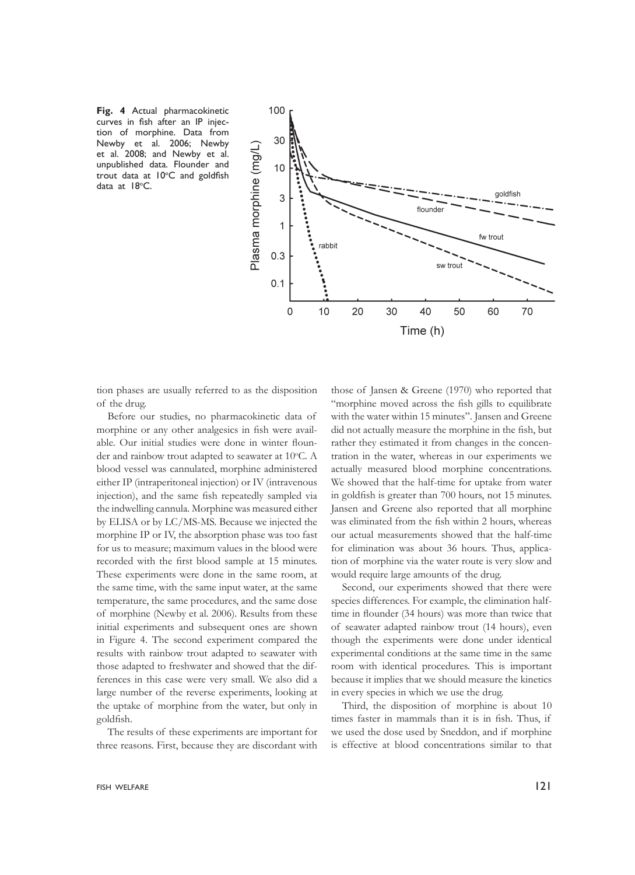**Fig. 4** Actual pharmacokinetic curves in fish after an IP injection of morphine. Data from Newby et al. 2006; Newby et al. 2008; and Newby et al. unpublished data. Flounder and trout data at 10°C and goldfish data at 18°C.



tion phases are usually referred to as the disposition of the drug.

Before our studies, no pharmacokinetic data of morphine or any other analgesics in fish were available. Our initial studies were done in winter flounder and rainbow trout adapted to seawater at 10°C. A blood vessel was cannulated, morphine administered either IP (intraperitoneal injection) or IV (intravenous injection), and the same fish repeatedly sampled via the indwelling cannula. Morphine was measured either by ELISA or by LC/MS-MS. Because we injected the morphine IP or IV, the absorption phase was too fast for us to measure; maximum values in the blood were recorded with the first blood sample at 15 minutes. These experiments were done in the same room, at the same time, with the same input water, at the same temperature, the same procedures, and the same dose of morphine (Newby et al. 2006). Results from these initial experiments and subsequent ones are shown in Figure 4. The second experiment compared the results with rainbow trout adapted to seawater with those adapted to freshwater and showed that the differences in this case were very small. We also did a large number of the reverse experiments, looking at the uptake of morphine from the water, but only in goldfish.

The results of these experiments are important for three reasons. First, because they are discordant with

those of Jansen & Greene (1970) who reported that "morphine moved across the fish gills to equilibrate with the water within 15 minutes". Jansen and Greene did not actually measure the morphine in the fish, but rather they estimated it from changes in the concentration in the water, whereas in our experiments we actually measured blood morphine concentrations. We showed that the half-time for uptake from water in goldfish is greater than 700 hours, not 15 minutes. Jansen and Greene also reported that all morphine was eliminated from the fish within 2 hours, whereas our actual measurements showed that the half-time for elimination was about 36 hours. Thus, application of morphine via the water route is very slow and would require large amounts of the drug.

Second, our experiments showed that there were species differences. For example, the elimination halftime in flounder (34 hours) was more than twice that of seawater adapted rainbow trout (14 hours), even though the experiments were done under identical experimental conditions at the same time in the same room with identical procedures. This is important because it implies that we should measure the kinetics in every species in which we use the drug.

Third, the disposition of morphine is about 10 times faster in mammals than it is in fish. Thus, if we used the dose used by Sneddon, and if morphine is effective at blood concentrations similar to that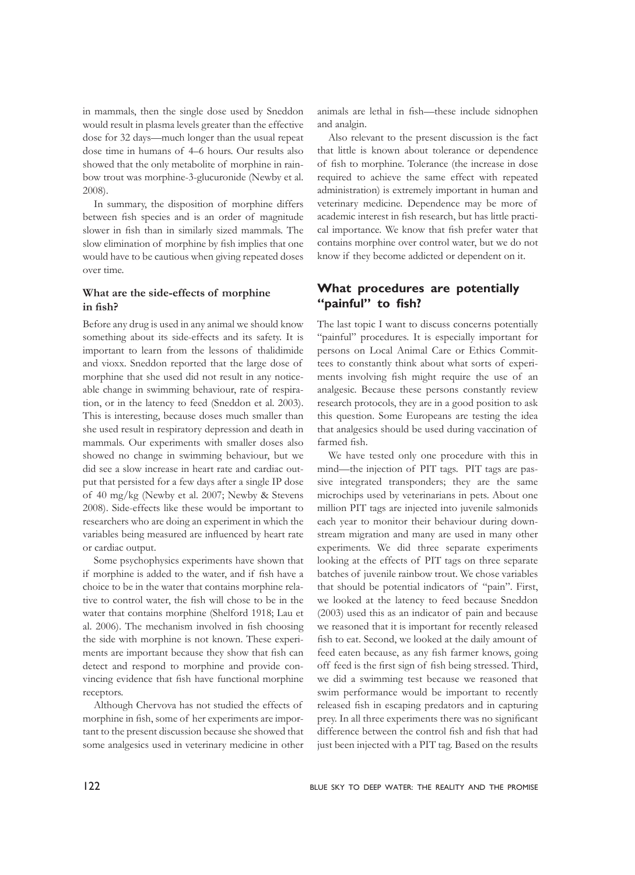in mammals, then the single dose used by Sneddon would result in plasma levels greater than the effective dose for 32 days—much longer than the usual repeat dose time in humans of 4–6 hours. Our results also showed that the only metabolite of morphine in rainbow trout was morphine-3-glucuronide (Newby et al. 2008).

In summary, the disposition of morphine differs between fish species and is an order of magnitude slower in fish than in similarly sized mammals. The slow elimination of morphine by fish implies that one would have to be cautious when giving repeated doses over time.

## **What are the side-effects of morphine in fish?**

Before any drug is used in any animal we should know something about its side-effects and its safety. It is important to learn from the lessons of thalidimide and vioxx. Sneddon reported that the large dose of morphine that she used did not result in any noticeable change in swimming behaviour, rate of respiration, or in the latency to feed (Sneddon et al. 2003). This is interesting, because doses much smaller than she used result in respiratory depression and death in mammals. Our experiments with smaller doses also showed no change in swimming behaviour, but we did see a slow increase in heart rate and cardiac output that persisted for a few days after a single IP dose of 40 mg/kg (Newby et al. 2007; Newby & Stevens 2008). Side-effects like these would be important to researchers who are doing an experiment in which the variables being measured are influenced by heart rate or cardiac output.

Some psychophysics experiments have shown that if morphine is added to the water, and if fish have a choice to be in the water that contains morphine relative to control water, the fish will chose to be in the water that contains morphine (Shelford 1918; Lau et al. 2006). The mechanism involved in fish choosing the side with morphine is not known. These experiments are important because they show that fish can detect and respond to morphine and provide convincing evidence that fish have functional morphine receptors.

Although Chervova has not studied the effects of morphine in fish, some of her experiments are important to the present discussion because she showed that some analgesics used in veterinary medicine in other animals are lethal in fish—these include sidnophen and analgin.

Also relevant to the present discussion is the fact that little is known about tolerance or dependence of fish to morphine. Tolerance (the increase in dose required to achieve the same effect with repeated administration) is extremely important in human and veterinary medicine. Dependence may be more of academic interest in fish research, but has little practical importance. We know that fish prefer water that contains morphine over control water, but we do not know if they become addicted or dependent on it.

# **What procedures are potentially "painful" to fish?**

The last topic I want to discuss concerns potentially "painful" procedures. It is especially important for persons on Local Animal Care or Ethics Committees to constantly think about what sorts of experiments involving fish might require the use of an analgesic. Because these persons constantly review research protocols, they are in a good position to ask this question. Some Europeans are testing the idea that analgesics should be used during vaccination of farmed fish.

We have tested only one procedure with this in mind—the injection of PIT tags. PIT tags are passive integrated transponders; they are the same microchips used by veterinarians in pets. About one million PIT tags are injected into juvenile salmonids each year to monitor their behaviour during downstream migration and many are used in many other experiments. We did three separate experiments looking at the effects of PIT tags on three separate batches of juvenile rainbow trout. We chose variables that should be potential indicators of "pain". First, we looked at the latency to feed because Sneddon (2003) used this as an indicator of pain and because we reasoned that it is important for recently released fish to eat. Second, we looked at the daily amount of feed eaten because, as any fish farmer knows, going off feed is the first sign of fish being stressed. Third, we did a swimming test because we reasoned that swim performance would be important to recently released fish in escaping predators and in capturing prey. In all three experiments there was no significant difference between the control fish and fish that had just been injected with a PIT tag. Based on the results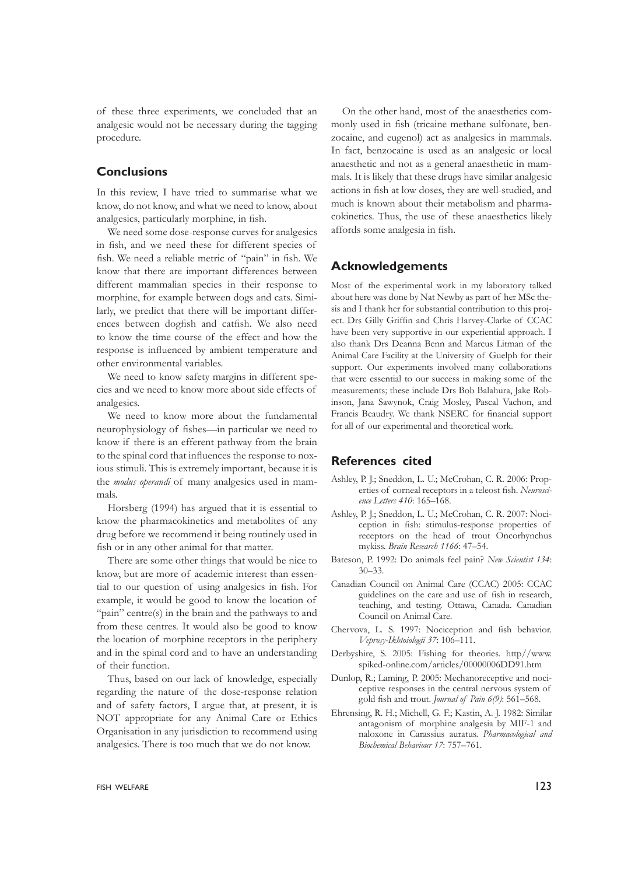of these three experiments, we concluded that an analgesic would not be necessary during the tagging procedure.

## **Conclusions**

In this review, I have tried to summarise what we know, do not know, and what we need to know, about analgesics, particularly morphine, in fish.

We need some dose-response curves for analgesics in fish, and we need these for different species of fish. We need a reliable metric of "pain" in fish. We know that there are important differences between different mammalian species in their response to morphine, for example between dogs and cats. Similarly, we predict that there will be important differences between dogfish and catfish. We also need to know the time course of the effect and how the response is influenced by ambient temperature and other environmental variables.

We need to know safety margins in different species and we need to know more about side effects of analgesics.

We need to know more about the fundamental neurophysiology of fishes—in particular we need to know if there is an efferent pathway from the brain to the spinal cord that influences the response to noxious stimuli. This is extremely important, because it is the *modus operandi* of many analgesics used in mammals.

Horsberg (1994) has argued that it is essential to know the pharmacokinetics and metabolites of any drug before we recommend it being routinely used in fish or in any other animal for that matter.

There are some other things that would be nice to know, but are more of academic interest than essential to our question of using analgesics in fish. For example, it would be good to know the location of "pain" centre(s) in the brain and the pathways to and from these centres. It would also be good to know the location of morphine receptors in the periphery and in the spinal cord and to have an understanding of their function.

Thus, based on our lack of knowledge, especially regarding the nature of the dose-response relation and of safety factors, I argue that, at present, it is NOT appropriate for any Animal Care or Ethics Organisation in any jurisdiction to recommend using analgesics. There is too much that we do not know.

On the other hand, most of the anaesthetics commonly used in fish (tricaine methane sulfonate, benzocaine, and eugenol) act as analgesics in mammals. In fact, benzocaine is used as an analgesic or local anaesthetic and not as a general anaesthetic in mammals. It is likely that these drugs have similar analgesic actions in fish at low doses, they are well-studied, and much is known about their metabolism and pharmacokinetics. Thus, the use of these anaesthetics likely affords some analgesia in fish.

## **Acknowledgements**

Most of the experimental work in my laboratory talked about here was done by Nat Newby as part of her MSc thesis and I thank her for substantial contribution to this project. Drs Gilly Griffin and Chris Harvey-Clarke of CCAC have been very supportive in our experiential approach. I also thank Drs Deanna Benn and Marcus Litman of the Animal Care Facility at the University of Guelph for their support. Our experiments involved many collaborations that were essential to our success in making some of the measurements; these include Drs Bob Balahura, Jake Robinson, Jana Sawynok, Craig Mosley, Pascal Vachon, and Francis Beaudry. We thank NSERC for financial support for all of our experimental and theoretical work.

#### **References cited**

- Ashley, P. J.; Sneddon, L. U.; McCrohan, C. R. 2006: Properties of corneal receptors in a teleost fish. *Neuroscience Letters 410*: 165–168.
- Ashley, P. J.; Sneddon, L. U.; McCrohan, C. R. 2007: Nociception in fish: stimulus-response properties of receptors on the head of trout Oncorhynchus mykiss. *Brain Research 1166*: 47–54.
- Bateson, P. 1992: Do animals feel pain? *New Scientist 134*: 30–33.
- Canadian Council on Animal Care (CCAC) 2005: CCAC guidelines on the care and use of fish in research, teaching, and testing. Ottawa, Canada. Canadian Council on Animal Care.
- Chervova, L. S. 1997: Nociception and fish behavior. *Veprosy-Ikhtoiologii 37*: 106–111.
- Derbyshire, S. 2005: Fishing for theories. http//www. spiked-online.com/articles/00000006DD91.htm
- Dunlop, R.; Laming, P. 2005: Mechanoreceptive and nociceptive responses in the central nervous system of gold fish and trout. *Journal of Pain 6(9)*: 561–568.
- Ehrensing, R. H.; Michell, G. F.; Kastin, A. J. 1982: Similar antagonism of morphine analgesia by MIF-1 and naloxone in Carassius auratus. *Pharmacological and Biochemical Behaviour 17*: 757–761.